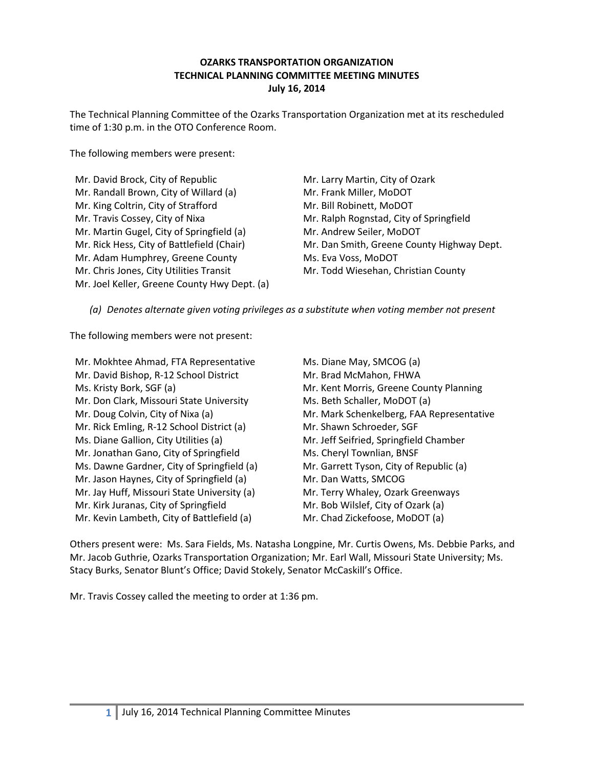#### **OZARKS TRANSPORTATION ORGANIZATION TECHNICAL PLANNING COMMITTEE MEETING MINUTES July 16, 2014**

The Technical Planning Committee of the Ozarks Transportation Organization met at its rescheduled time of 1:30 p.m. in the OTO Conference Room.

The following members were present:

| Mr. David Brock, City of Republic            |
|----------------------------------------------|
| Mr. Randall Brown, City of Willard (a)       |
| Mr. King Coltrin, City of Strafford          |
| Mr. Travis Cossey, City of Nixa              |
| Mr. Martin Gugel, City of Springfield (a)    |
| Mr. Rick Hess, City of Battlefield (Chair)   |
| Mr. Adam Humphrey, Greene County             |
| Mr. Chris Jones, City Utilities Transit      |
| Mr. Joel Keller, Greene County Hwy Dept. (a) |
|                                              |

Mr. Larry Martin, City of Ozark Mr. Frank Miller, MoDOT Mr. Bill Robinett, MoDOT Mr. Ralph Rognstad, City of Springfield Mr. Andrew Seiler, MoDOT Mr. Dan Smith, Greene County Highway Dept. Ms. Eva Voss, MoDOT Mr. Todd Wiesehan, Christian County

*(a) Denotes alternate given voting privileges as a substitute when voting member not present*

The following members were not present:

Mr. Mokhtee Ahmad, FTA Representative Mr. David Bishop, R-12 School District Ms. Kristy Bork, SGF (a) Mr. Don Clark, Missouri State University Mr. Doug Colvin, City of Nixa (a) Mr. Rick Emling, R-12 School District (a) Ms. Diane Gallion, City Utilities (a) Mr. Jonathan Gano, City of Springfield Ms. Dawne Gardner, City of Springfield (a) Mr. Jason Haynes, City of Springfield (a) Mr. Jay Huff, Missouri State University (a) Mr. Kirk Juranas, City of Springfield Mr. Kevin Lambeth, City of Battlefield (a)

Ms. Diane May, SMCOG (a) Mr. Brad McMahon, FHWA Mr. Kent Morris, Greene County Planning Ms. Beth Schaller, MoDOT (a) Mr. Mark Schenkelberg, FAA Representative Mr. Shawn Schroeder, SGF Mr. Jeff Seifried, Springfield Chamber Ms. Cheryl Townlian, BNSF Mr. Garrett Tyson, City of Republic (a) Mr. Dan Watts, SMCOG Mr. Terry Whaley, Ozark Greenways Mr. Bob Wilslef, City of Ozark (a) Mr. Chad Zickefoose, MoDOT (a)

Others present were: Ms. Sara Fields, Ms. Natasha Longpine, Mr. Curtis Owens, Ms. Debbie Parks, and Mr. Jacob Guthrie, Ozarks Transportation Organization; Mr. Earl Wall, Missouri State University; Ms. Stacy Burks, Senator Blunt's Office; David Stokely, Senator McCaskill's Office.

Mr. Travis Cossey called the meeting to order at 1:36 pm.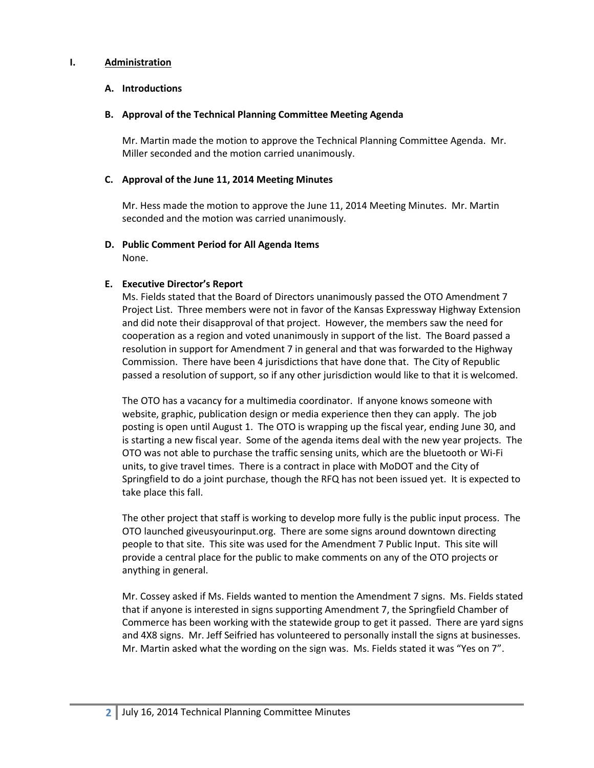#### **I. Administration**

#### **A. Introductions**

#### **B. Approval of the Technical Planning Committee Meeting Agenda**

Mr. Martin made the motion to approve the Technical Planning Committee Agenda. Mr. Miller seconded and the motion carried unanimously.

#### **C. Approval of the June 11, 2014 Meeting Minutes**

Mr. Hess made the motion to approve the June 11, 2014 Meeting Minutes. Mr. Martin seconded and the motion was carried unanimously.

# **D. Public Comment Period for All Agenda Items**

None.

#### **E. Executive Director's Report**

Ms. Fields stated that the Board of Directors unanimously passed the OTO Amendment 7 Project List. Three members were not in favor of the Kansas Expressway Highway Extension and did note their disapproval of that project. However, the members saw the need for cooperation as a region and voted unanimously in support of the list. The Board passed a resolution in support for Amendment 7 in general and that was forwarded to the Highway Commission. There have been 4 jurisdictions that have done that. The City of Republic passed a resolution of support, so if any other jurisdiction would like to that it is welcomed.

The OTO has a vacancy for a multimedia coordinator. If anyone knows someone with website, graphic, publication design or media experience then they can apply. The job posting is open until August 1. The OTO is wrapping up the fiscal year, ending June 30, and is starting a new fiscal year. Some of the agenda items deal with the new year projects. The OTO was not able to purchase the traffic sensing units, which are the bluetooth or Wi-Fi units, to give travel times. There is a contract in place with MoDOT and the City of Springfield to do a joint purchase, though the RFQ has not been issued yet. It is expected to take place this fall.

The other project that staff is working to develop more fully is the public input process. The OTO launched giveusyourinput.org. There are some signs around downtown directing people to that site. This site was used for the Amendment 7 Public Input. This site will provide a central place for the public to make comments on any of the OTO projects or anything in general.

Mr. Cossey asked if Ms. Fields wanted to mention the Amendment 7 signs. Ms. Fields stated that if anyone is interested in signs supporting Amendment 7, the Springfield Chamber of Commerce has been working with the statewide group to get it passed. There are yard signs and 4X8 signs. Mr. Jeff Seifried has volunteered to personally install the signs at businesses. Mr. Martin asked what the wording on the sign was. Ms. Fields stated it was "Yes on 7".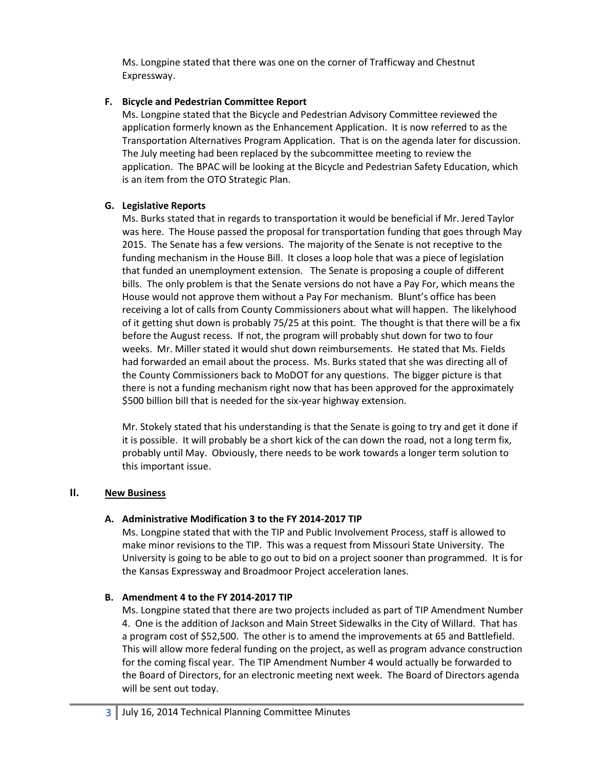Ms. Longpine stated that there was one on the corner of Trafficway and Chestnut Expressway.

## **F. Bicycle and Pedestrian Committee Report**

Ms. Longpine stated that the Bicycle and Pedestrian Advisory Committee reviewed the application formerly known as the Enhancement Application. It is now referred to as the Transportation Alternatives Program Application. That is on the agenda later for discussion. The July meeting had been replaced by the subcommittee meeting to review the application. The BPAC will be looking at the Bicycle and Pedestrian Safety Education, which is an item from the OTO Strategic Plan.

# **G. Legislative Reports**

Ms. Burks stated that in regards to transportation it would be beneficial if Mr. Jered Taylor was here. The House passed the proposal for transportation funding that goes through May 2015. The Senate has a few versions. The majority of the Senate is not receptive to the funding mechanism in the House Bill. It closes a loop hole that was a piece of legislation that funded an unemployment extension. The Senate is proposing a couple of different bills. The only problem is that the Senate versions do not have a Pay For, which means the House would not approve them without a Pay For mechanism. Blunt's office has been receiving a lot of calls from County Commissioners about what will happen. The likelyhood of it getting shut down is probably 75/25 at this point. The thought is that there will be a fix before the August recess. If not, the program will probably shut down for two to four weeks. Mr. Miller stated it would shut down reimbursements. He stated that Ms. Fields had forwarded an email about the process. Ms. Burks stated that she was directing all of the County Commissioners back to MoDOT for any questions. The bigger picture is that there is not a funding mechanism right now that has been approved for the approximately \$500 billion bill that is needed for the six-year highway extension.

Mr. Stokely stated that his understanding is that the Senate is going to try and get it done if it is possible. It will probably be a short kick of the can down the road, not a long term fix, probably until May. Obviously, there needs to be work towards a longer term solution to this important issue.

# **II. New Business**

# **A. Administrative Modification 3 to the FY 2014-2017 TIP**

Ms. Longpine stated that with the TIP and Public Involvement Process, staff is allowed to make minor revisions to the TIP. This was a request from Missouri State University. The University is going to be able to go out to bid on a project sooner than programmed. It is for the Kansas Expressway and Broadmoor Project acceleration lanes.

# **B. Amendment 4 to the FY 2014-2017 TIP**

Ms. Longpine stated that there are two projects included as part of TIP Amendment Number 4. One is the addition of Jackson and Main Street Sidewalks in the City of Willard. That has a program cost of \$52,500. The other is to amend the improvements at 65 and Battlefield. This will allow more federal funding on the project, as well as program advance construction for the coming fiscal year. The TIP Amendment Number 4 would actually be forwarded to the Board of Directors, for an electronic meeting next week. The Board of Directors agenda will be sent out today.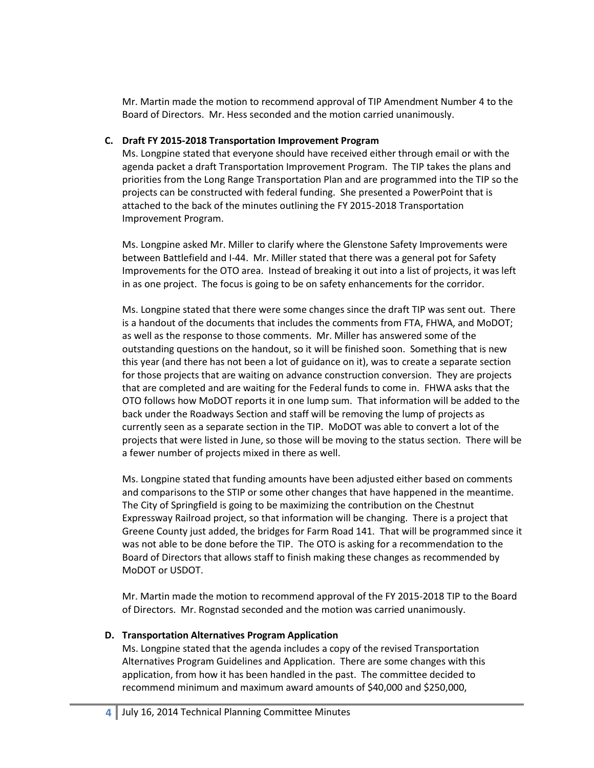Mr. Martin made the motion to recommend approval of TIP Amendment Number 4 to the Board of Directors. Mr. Hess seconded and the motion carried unanimously.

#### **C. Draft FY 2015-2018 Transportation Improvement Program**

Ms. Longpine stated that everyone should have received either through email or with the agenda packet a draft Transportation Improvement Program. The TIP takes the plans and priorities from the Long Range Transportation Plan and are programmed into the TIP so the projects can be constructed with federal funding. She presented a PowerPoint that is attached to the back of the minutes outlining the FY 2015-2018 Transportation Improvement Program.

Ms. Longpine asked Mr. Miller to clarify where the Glenstone Safety Improvements were between Battlefield and I-44. Mr. Miller stated that there was a general pot for Safety Improvements for the OTO area. Instead of breaking it out into a list of projects, it was left in as one project. The focus is going to be on safety enhancements for the corridor.

Ms. Longpine stated that there were some changes since the draft TIP was sent out. There is a handout of the documents that includes the comments from FTA, FHWA, and MoDOT; as well as the response to those comments. Mr. Miller has answered some of the outstanding questions on the handout, so it will be finished soon. Something that is new this year (and there has not been a lot of guidance on it), was to create a separate section for those projects that are waiting on advance construction conversion. They are projects that are completed and are waiting for the Federal funds to come in. FHWA asks that the OTO follows how MoDOT reports it in one lump sum. That information will be added to the back under the Roadways Section and staff will be removing the lump of projects as currently seen as a separate section in the TIP. MoDOT was able to convert a lot of the projects that were listed in June, so those will be moving to the status section. There will be a fewer number of projects mixed in there as well.

Ms. Longpine stated that funding amounts have been adjusted either based on comments and comparisons to the STIP or some other changes that have happened in the meantime. The City of Springfield is going to be maximizing the contribution on the Chestnut Expressway Railroad project, so that information will be changing. There is a project that Greene County just added, the bridges for Farm Road 141. That will be programmed since it was not able to be done before the TIP. The OTO is asking for a recommendation to the Board of Directors that allows staff to finish making these changes as recommended by MoDOT or USDOT.

Mr. Martin made the motion to recommend approval of the FY 2015-2018 TIP to the Board of Directors. Mr. Rognstad seconded and the motion was carried unanimously.

### **D. Transportation Alternatives Program Application**

Ms. Longpine stated that the agenda includes a copy of the revised Transportation Alternatives Program Guidelines and Application. There are some changes with this application, from how it has been handled in the past. The committee decided to recommend minimum and maximum award amounts of \$40,000 and \$250,000,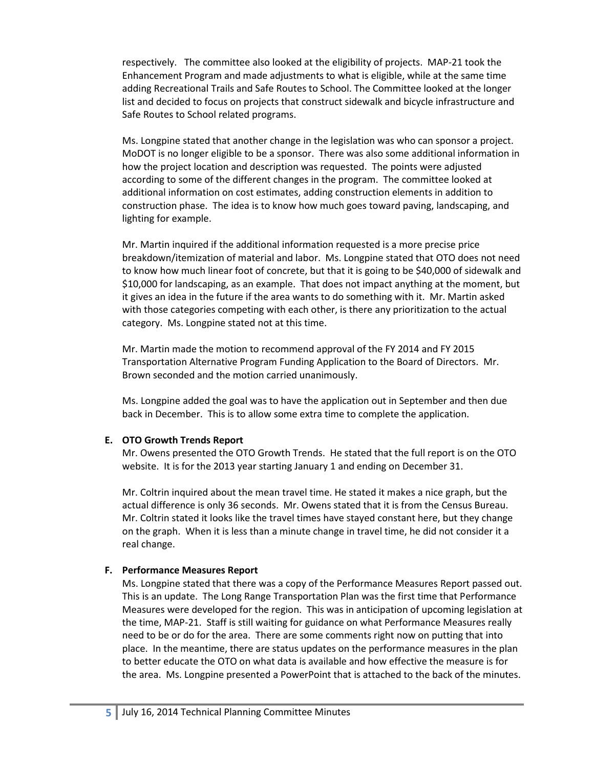respectively. The committee also looked at the eligibility of projects. MAP-21 took the Enhancement Program and made adjustments to what is eligible, while at the same time adding Recreational Trails and Safe Routes to School. The Committee looked at the longer list and decided to focus on projects that construct sidewalk and bicycle infrastructure and Safe Routes to School related programs.

Ms. Longpine stated that another change in the legislation was who can sponsor a project. MoDOT is no longer eligible to be a sponsor. There was also some additional information in how the project location and description was requested. The points were adjusted according to some of the different changes in the program. The committee looked at additional information on cost estimates, adding construction elements in addition to construction phase. The idea is to know how much goes toward paving, landscaping, and lighting for example.

Mr. Martin inquired if the additional information requested is a more precise price breakdown/itemization of material and labor. Ms. Longpine stated that OTO does not need to know how much linear foot of concrete, but that it is going to be \$40,000 of sidewalk and \$10,000 for landscaping, as an example. That does not impact anything at the moment, but it gives an idea in the future if the area wants to do something with it. Mr. Martin asked with those categories competing with each other, is there any prioritization to the actual category. Ms. Longpine stated not at this time.

Mr. Martin made the motion to recommend approval of the FY 2014 and FY 2015 Transportation Alternative Program Funding Application to the Board of Directors. Mr. Brown seconded and the motion carried unanimously.

Ms. Longpine added the goal was to have the application out in September and then due back in December. This is to allow some extra time to complete the application.

#### **E. OTO Growth Trends Report**

Mr. Owens presented the OTO Growth Trends. He stated that the full report is on the OTO website. It is for the 2013 year starting January 1 and ending on December 31.

Mr. Coltrin inquired about the mean travel time. He stated it makes a nice graph, but the actual difference is only 36 seconds. Mr. Owens stated that it is from the Census Bureau. Mr. Coltrin stated it looks like the travel times have stayed constant here, but they change on the graph. When it is less than a minute change in travel time, he did not consider it a real change.

### **F. Performance Measures Report**

Ms. Longpine stated that there was a copy of the Performance Measures Report passed out. This is an update. The Long Range Transportation Plan was the first time that Performance Measures were developed for the region. This was in anticipation of upcoming legislation at the time, MAP-21. Staff is still waiting for guidance on what Performance Measures really need to be or do for the area. There are some comments right now on putting that into place. In the meantime, there are status updates on the performance measures in the plan to better educate the OTO on what data is available and how effective the measure is for the area. Ms. Longpine presented a PowerPoint that is attached to the back of the minutes.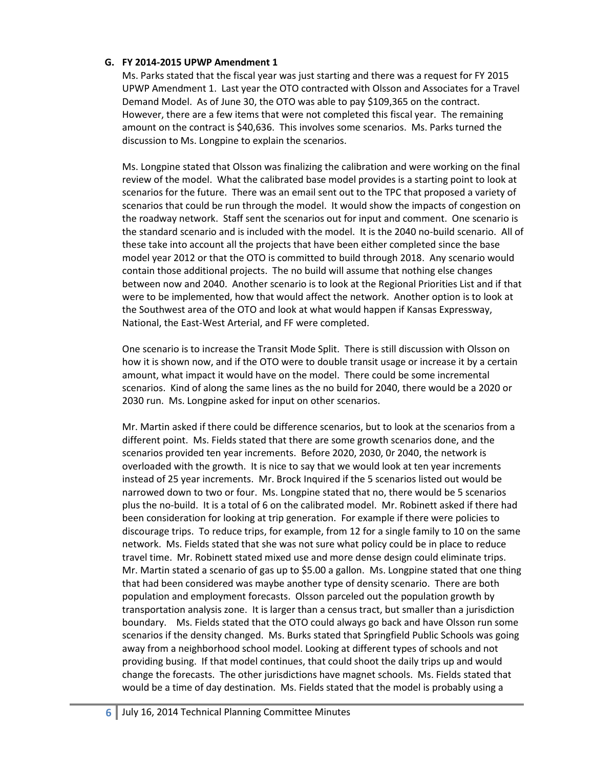#### **G. FY 2014-2015 UPWP Amendment 1**

Ms. Parks stated that the fiscal year was just starting and there was a request for FY 2015 UPWP Amendment 1. Last year the OTO contracted with Olsson and Associates for a Travel Demand Model. As of June 30, the OTO was able to pay \$109,365 on the contract. However, there are a few items that were not completed this fiscal year. The remaining amount on the contract is \$40,636. This involves some scenarios. Ms. Parks turned the discussion to Ms. Longpine to explain the scenarios.

Ms. Longpine stated that Olsson was finalizing the calibration and were working on the final review of the model. What the calibrated base model provides is a starting point to look at scenarios for the future. There was an email sent out to the TPC that proposed a variety of scenarios that could be run through the model. It would show the impacts of congestion on the roadway network. Staff sent the scenarios out for input and comment. One scenario is the standard scenario and is included with the model. It is the 2040 no-build scenario. All of these take into account all the projects that have been either completed since the base model year 2012 or that the OTO is committed to build through 2018. Any scenario would contain those additional projects. The no build will assume that nothing else changes between now and 2040. Another scenario is to look at the Regional Priorities List and if that were to be implemented, how that would affect the network. Another option is to look at the Southwest area of the OTO and look at what would happen if Kansas Expressway, National, the East-West Arterial, and FF were completed.

One scenario is to increase the Transit Mode Split. There is still discussion with Olsson on how it is shown now, and if the OTO were to double transit usage or increase it by a certain amount, what impact it would have on the model. There could be some incremental scenarios. Kind of along the same lines as the no build for 2040, there would be a 2020 or 2030 run. Ms. Longpine asked for input on other scenarios.

Mr. Martin asked if there could be difference scenarios, but to look at the scenarios from a different point. Ms. Fields stated that there are some growth scenarios done, and the scenarios provided ten year increments. Before 2020, 2030, 0r 2040, the network is overloaded with the growth. It is nice to say that we would look at ten year increments instead of 25 year increments. Mr. Brock Inquired if the 5 scenarios listed out would be narrowed down to two or four. Ms. Longpine stated that no, there would be 5 scenarios plus the no-build. It is a total of 6 on the calibrated model. Mr. Robinett asked if there had been consideration for looking at trip generation. For example if there were policies to discourage trips. To reduce trips, for example, from 12 for a single family to 10 on the same network. Ms. Fields stated that she was not sure what policy could be in place to reduce travel time. Mr. Robinett stated mixed use and more dense design could eliminate trips. Mr. Martin stated a scenario of gas up to \$5.00 a gallon. Ms. Longpine stated that one thing that had been considered was maybe another type of density scenario. There are both population and employment forecasts. Olsson parceled out the population growth by transportation analysis zone. It is larger than a census tract, but smaller than a jurisdiction boundary. Ms. Fields stated that the OTO could always go back and have Olsson run some scenarios if the density changed. Ms. Burks stated that Springfield Public Schools was going away from a neighborhood school model. Looking at different types of schools and not providing busing. If that model continues, that could shoot the daily trips up and would change the forecasts. The other jurisdictions have magnet schools. Ms. Fields stated that would be a time of day destination. Ms. Fields stated that the model is probably using a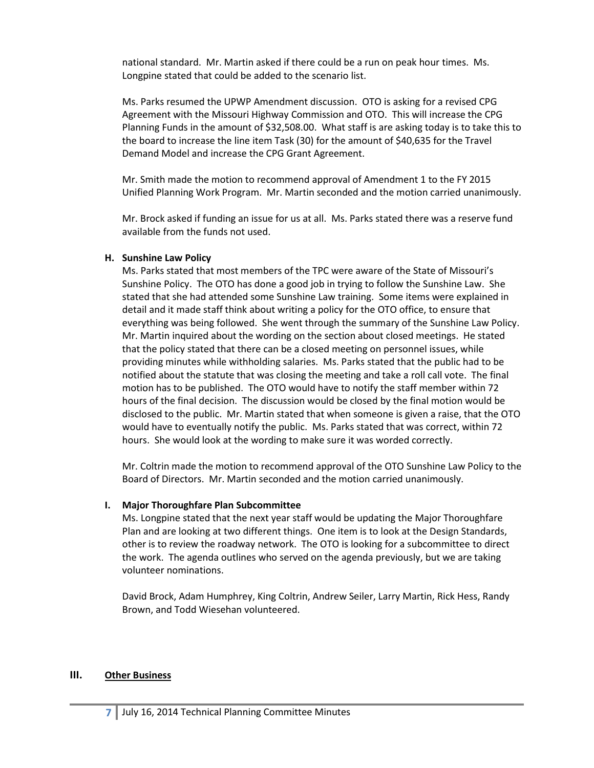national standard. Mr. Martin asked if there could be a run on peak hour times. Ms. Longpine stated that could be added to the scenario list.

Ms. Parks resumed the UPWP Amendment discussion. OTO is asking for a revised CPG Agreement with the Missouri Highway Commission and OTO. This will increase the CPG Planning Funds in the amount of \$32,508.00. What staff is are asking today is to take this to the board to increase the line item Task (30) for the amount of \$40,635 for the Travel Demand Model and increase the CPG Grant Agreement.

Mr. Smith made the motion to recommend approval of Amendment 1 to the FY 2015 Unified Planning Work Program. Mr. Martin seconded and the motion carried unanimously.

Mr. Brock asked if funding an issue for us at all. Ms. Parks stated there was a reserve fund available from the funds not used.

#### **H. Sunshine Law Policy**

Ms. Parks stated that most members of the TPC were aware of the State of Missouri's Sunshine Policy. The OTO has done a good job in trying to follow the Sunshine Law. She stated that she had attended some Sunshine Law training. Some items were explained in detail and it made staff think about writing a policy for the OTO office, to ensure that everything was being followed. She went through the summary of the Sunshine Law Policy. Mr. Martin inquired about the wording on the section about closed meetings. He stated that the policy stated that there can be a closed meeting on personnel issues, while providing minutes while withholding salaries. Ms. Parks stated that the public had to be notified about the statute that was closing the meeting and take a roll call vote. The final motion has to be published. The OTO would have to notify the staff member within 72 hours of the final decision. The discussion would be closed by the final motion would be disclosed to the public. Mr. Martin stated that when someone is given a raise, that the OTO would have to eventually notify the public. Ms. Parks stated that was correct, within 72 hours. She would look at the wording to make sure it was worded correctly.

Mr. Coltrin made the motion to recommend approval of the OTO Sunshine Law Policy to the Board of Directors. Mr. Martin seconded and the motion carried unanimously.

#### **I. Major Thoroughfare Plan Subcommittee**

Ms. Longpine stated that the next year staff would be updating the Major Thoroughfare Plan and are looking at two different things. One item is to look at the Design Standards, other is to review the roadway network. The OTO is looking for a subcommittee to direct the work. The agenda outlines who served on the agenda previously, but we are taking volunteer nominations.

David Brock, Adam Humphrey, King Coltrin, Andrew Seiler, Larry Martin, Rick Hess, Randy Brown, and Todd Wiesehan volunteered.

#### **III. Other Business**